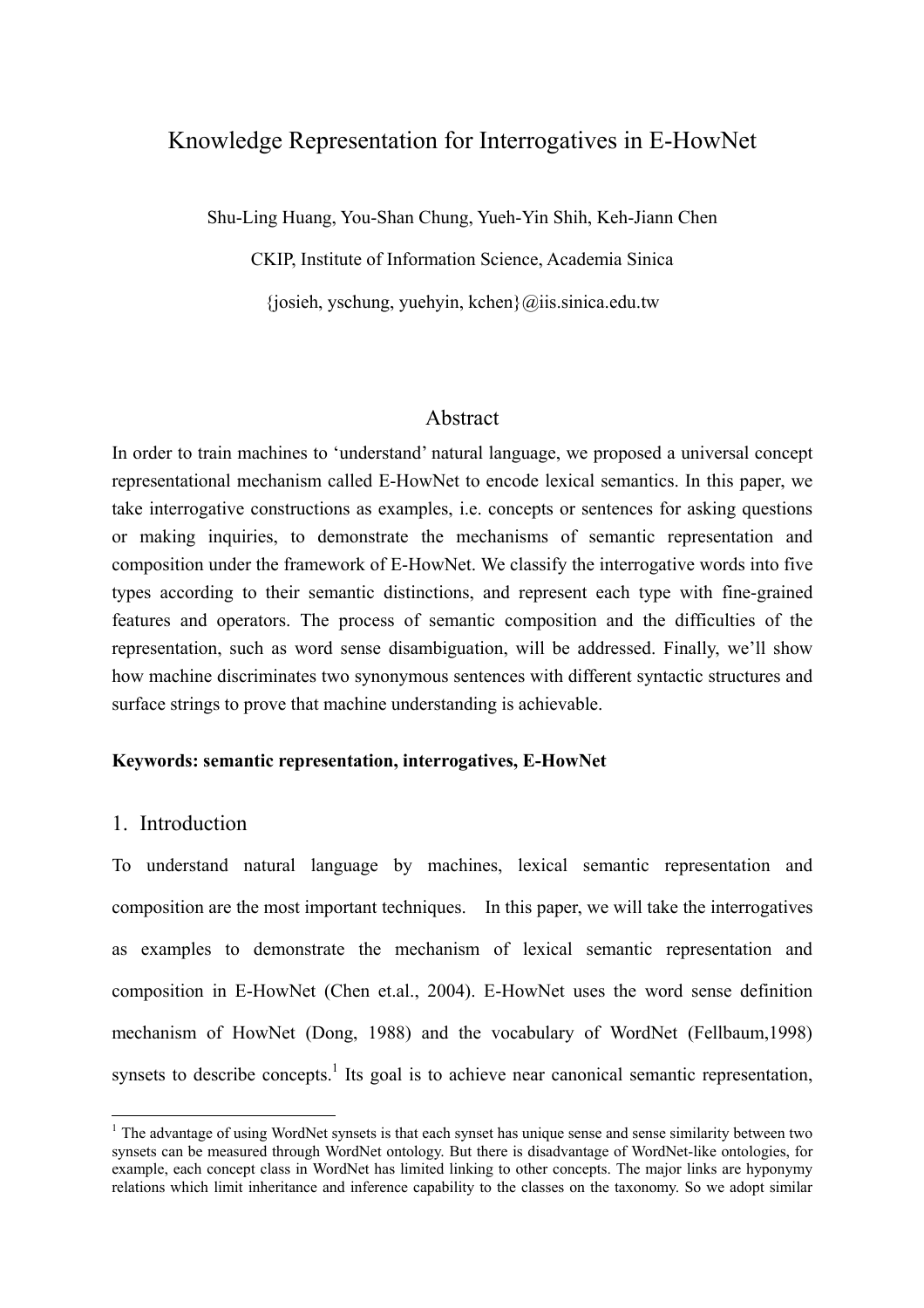# Knowledge Representation for Interrogatives in E-HowNet

Shu-Ling Huang, You-Shan Chung, Yueh-Yin Shih, Keh-Jiann Chen

CKIP, Institute of Information Science, Academia Sinica

 ${\rm josieh, vschung, vuehvin, kchen}@iiis.sinica.edu.tw$ 

### Abstract

In order to train machines to 'understand' natural language, we proposed a universal concept representational mechanism called E-HowNet to encode lexical semantics. In this paper, we take interrogative constructions as examples, i.e. concepts or sentences for asking questions or making inquiries, to demonstrate the mechanisms of semantic representation and composition under the framework of E-HowNet. We classify the interrogative words into five types according to their semantic distinctions, and represent each type with fine-grained features and operators. The process of semantic composition and the difficulties of the representation, such as word sense disambiguation, will be addressed. Finally, we'll show how machine discriminates two synonymous sentences with different syntactic structures and surface strings to prove that machine understanding is achievable.

### **Keywords: semantic representation, interrogatives, E-HowNet**

# 1. Introduction

 $\overline{a}$ 

To understand natural language by machines, lexical semantic representation and composition are the most important techniques. In this paper, we will take the interrogatives as examples to demonstrate the mechanism of lexical semantic representation and composition in E-HowNet (Chen et.al., 2004). E-HowNet uses the word sense definition mechanism of HowNet (Dong, 1988) and the vocabulary of WordNet (Fellbaum,1998) synsets to describe concepts.<sup>[1](#page-0-0)</sup> Its goal is to achieve near canonical semantic representation,

<span id="page-0-0"></span> $<sup>1</sup>$  The advantage of using WordNet synsets is that each synset has unique sense and sense similarity between two</sup> synsets can be measured through WordNet ontology. But there is disadvantage of WordNet-like ontologies, for example, each concept class in WordNet has limited linking to other concepts. The major links are hyponymy relations which limit inheritance and inference capability to the classes on the taxonomy. So we adopt similar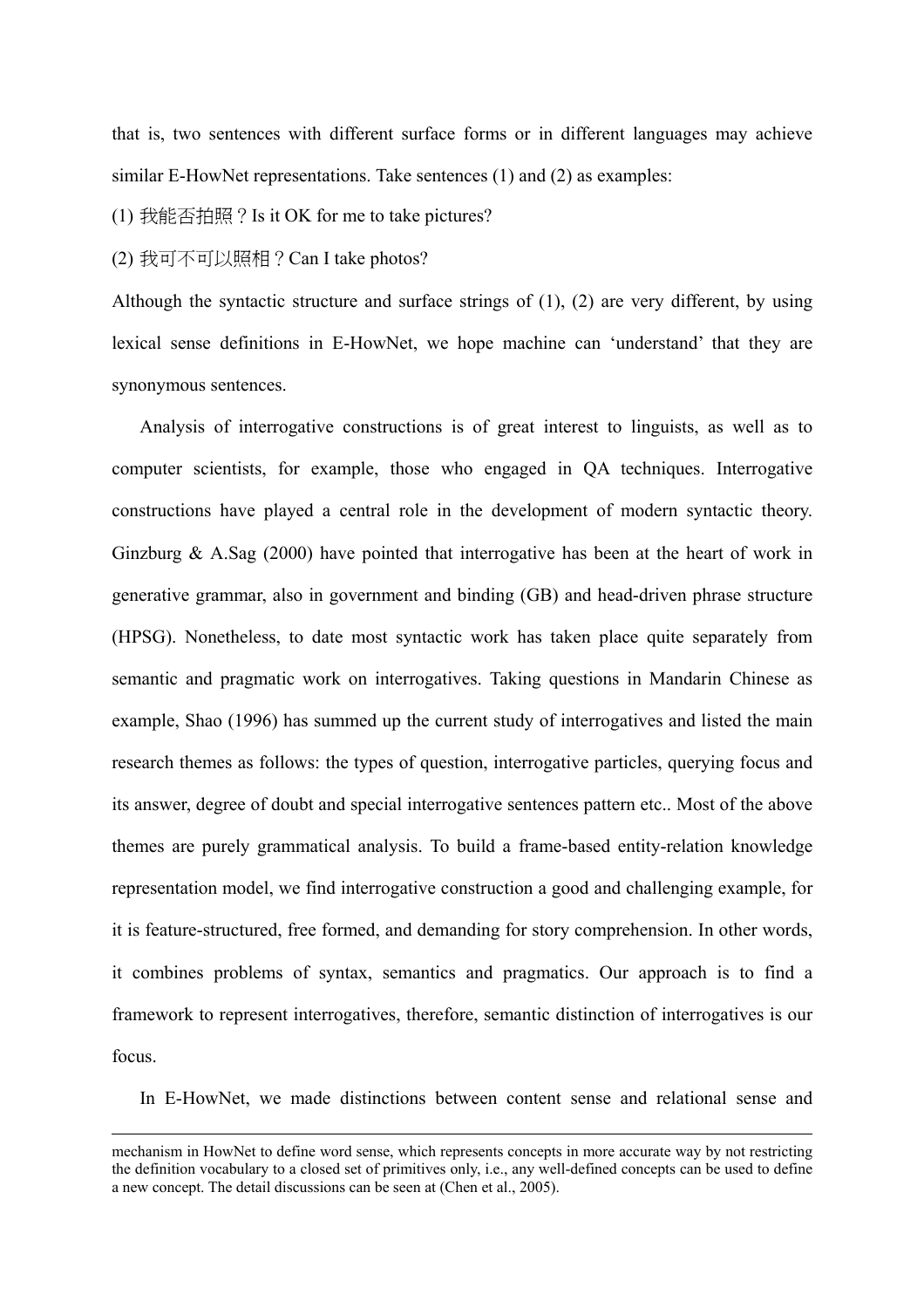that is, two sentences with different surface forms or in different languages may achieve similar E-HowNet representations. Take sentences (1) and (2) as examples:

(1) 我能否拍照?Is it OK for me to take pictures?

(2) 我可不可以照相?Can I take photos?

Although the syntactic structure and surface strings of (1), (2) are very different, by using lexical sense definitions in E-HowNet, we hope machine can 'understand' that they are synonymous sentences.

Analysis of interrogative constructions is of great interest to linguists, as well as to computer scientists, for example, those who engaged in QA techniques. Interrogative constructions have played a central role in the development of modern syntactic theory. Ginzburg & A.Sag (2000) have pointed that interrogative has been at the heart of work in generative grammar, also in government and binding (GB) and head-driven phrase structure (HPSG). Nonetheless, to date most syntactic work has taken place quite separately from semantic and pragmatic work on interrogatives. Taking questions in Mandarin Chinese as example, Shao (1996) has summed up the current study of interrogatives and listed the main research themes as follows: the types of question, interrogative particles, querying focus and its answer, degree of doubt and special interrogative sentences pattern etc.. Most of the above themes are purely grammatical analysis. To build a frame-based entity-relation knowledge representation model, we find interrogative construction a good and challenging example, for it is feature-structured, free formed, and demanding for story comprehension. In other words, it combines problems of syntax, semantics and pragmatics. Our approach is to find a framework to represent interrogatives, therefore, semantic distinction of interrogatives is our focus.

In E-HowNet, we made distinctions between content sense and relational sense and

mechanism in HowNet to define word sense, which represents concepts in more accurate way by not restricting the definition vocabulary to a closed set of primitives only, i.e., any well-defined concepts can be used to define a new concept. The detail discussions can be seen at (Chen et al., 2005).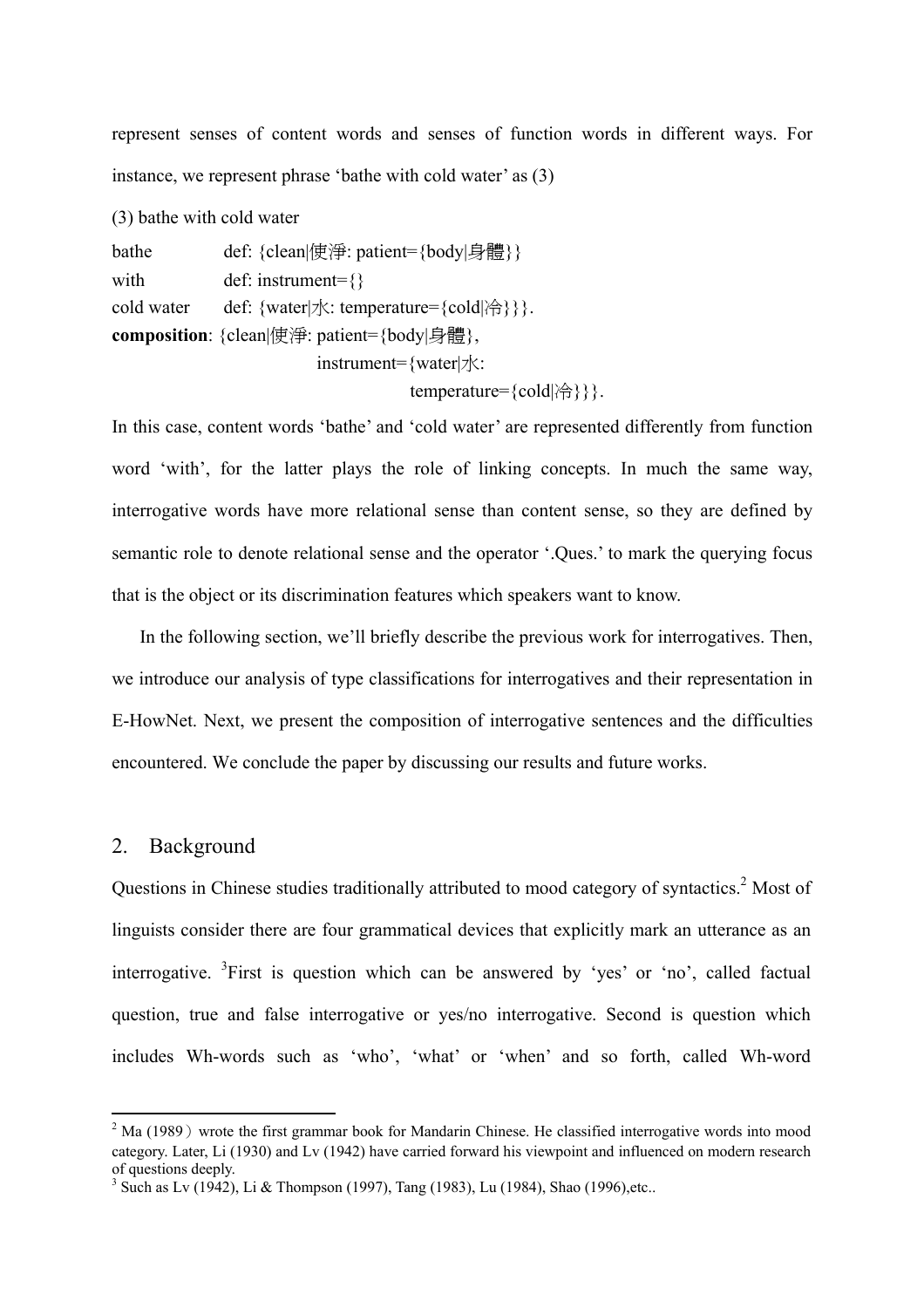represent senses of content words and senses of function words in different ways. For instance, we represent phrase 'bathe with cold water' as (3)

(3) bathe with cold water

bathe def: {clean|使淨: patient={body|身體}} with def: instrument={} cold water def: {water|水: temperature={cold|冷}}}. **composition**: {clean|使淨: patient={body|身體},

instrument={water|水:

temperature={cold|冷}}}.

In this case, content words 'bathe' and 'cold water' are represented differently from function word 'with', for the latter plays the role of linking concepts. In much the same way, interrogative words have more relational sense than content sense, so they are defined by semantic role to denote relational sense and the operator '.Ques.' to mark the querying focus that is the object or its discrimination features which speakers want to know.

In the following section, we'll briefly describe the previous work for interrogatives. Then, we introduce our analysis of type classifications for interrogatives and their representation in E-HowNet. Next, we present the composition of interrogative sentences and the difficulties encountered. We conclude the paper by discussing our results and future works.

### 2. Background

 $\overline{a}$ 

Questions in Chinese studies traditionally attributed to mood category of syntactics.<sup>2</sup> Most of linguists consider there are four grammatical devices that explicitly mark an utterance as an interrogative. <sup>[3](#page-2-1)</sup>First is question which can be answered by 'yes' or 'no', called factual question, true and false interrogative or yes/no interrogative. Second is question which includes Wh-words such as 'who', 'what' or 'when' and so forth, called Wh-word

<span id="page-2-0"></span> $2$  Ma (1989) wrote the first grammar book for Mandarin Chinese. He classified interrogative words into mood category. Later, Li (1930) and Lv (1942) have carried forward his viewpoint and influenced on modern research of questions deeply.

<span id="page-2-1"></span><sup>&</sup>lt;sup>3</sup> Such as Lv (1942), Li & Thompson (1997), Tang (1983), Lu (1984), Shao (1996), etc..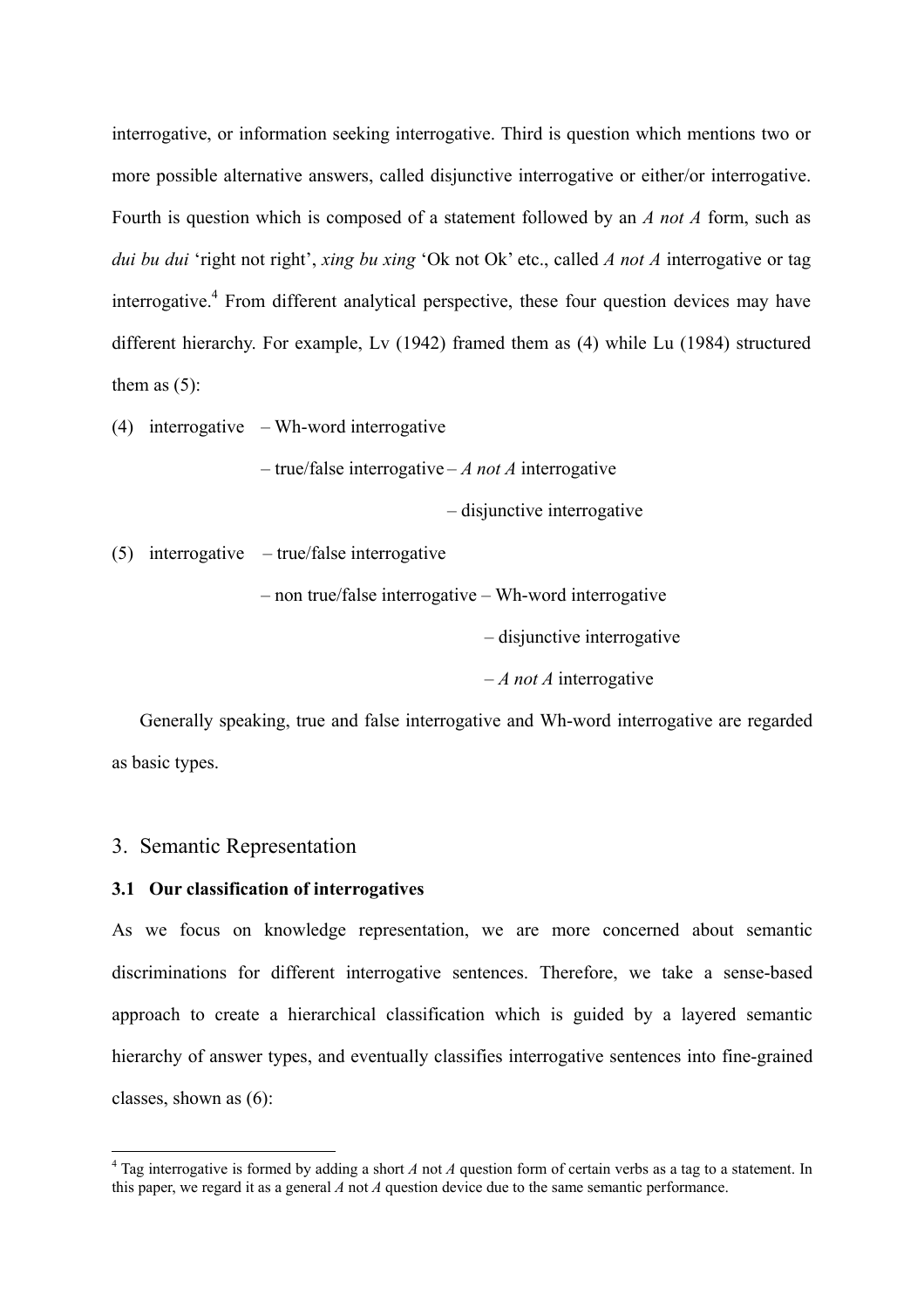interrogative, or information seeking interrogative. Third is question which mentions two or more possible alternative answers, called disjunctive interrogative or either/or interrogative. Fourth is question which is composed of a statement followed by an *A not A* form, such as *dui bu dui* 'right not right', *xing bu xing* 'Ok not Ok' etc., called *A not A* interrogative or tag interrogative.<sup>[4](#page-3-0)</sup> From different analytical perspective, these four question devices may have different hierarchy. For example, Lv (1942) framed them as (4) while Lu (1984) structured them as  $(5)$ :

(4) interrogative – Wh-word interrogative

– true/false interrogative – *A not A* interrogative

– disjunctive interrogative

(5) interrogative – true/false interrogative

– non true/false interrogative – Wh-word interrogative

– disjunctive interrogative

– *A not A* interrogative

Generally speaking, true and false interrogative and Wh-word interrogative are regarded as basic types.

### 3. Semantic Representation

 $\overline{a}$ 

#### **3.1 Our classification of interrogatives**

As we focus on knowledge representation, we are more concerned about semantic discriminations for different interrogative sentences. Therefore, we take a sense-based approach to create a hierarchical classification which is guided by a layered semantic hierarchy of answer types, and eventually classifies interrogative sentences into fine-grained classes, shown as (6):

<span id="page-3-0"></span> $4$  Tag interrogative is formed by adding a short *A* not *A* question form of certain verbs as a tag to a statement. In this paper, we regard it as a general *A* not *A* question device due to the same semantic performance.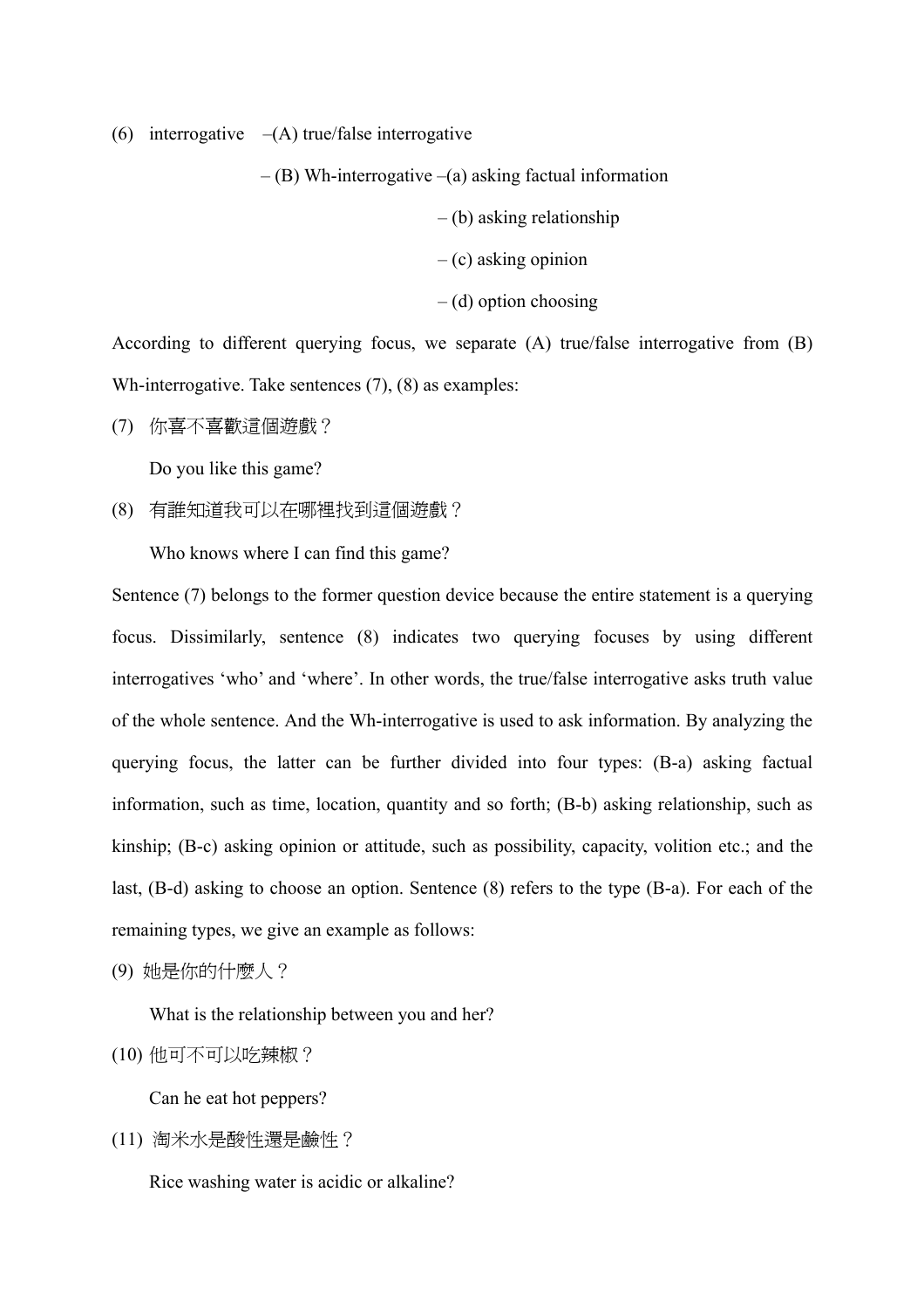(6) interrogative  $-(A)$  true/false interrogative

 $-$  (B) Wh-interrogative  $-$ (a) asking factual information

– (b) asking relationship

- $-$  (c) asking opinion
- $-$  (d) option choosing

According to different querying focus, we separate (A) true/false interrogative from (B) Wh-interrogative. Take sentences (7), (8) as examples:

(7) 你喜不喜歡這個遊戲?

Do you like this game?

(8) 有誰知道我可以在哪裡找到這個遊戲?

Who knows where I can find this game?

Sentence (7) belongs to the former question device because the entire statement is a querying focus. Dissimilarly, sentence (8) indicates two querying focuses by using different interrogatives 'who' and 'where'. In other words, the true/false interrogative asks truth value of the whole sentence. And the Wh-interrogative is used to ask information. By analyzing the querying focus, the latter can be further divided into four types: (B-a) asking factual information, such as time, location, quantity and so forth; (B-b) asking relationship, such as kinship; (B-c) asking opinion or attitude, such as possibility, capacity, volition etc.; and the last, (B-d) asking to choose an option. Sentence (8) refers to the type (B-a). For each of the remaining types, we give an example as follows:

(9) 她是你的什麼人?

What is the relationship between you and her?

(10) 他可不可以吃辣椒?

Can he eat hot peppers?

(11) 淘米水是酸性還是鹼性?

Rice washing water is acidic or alkaline?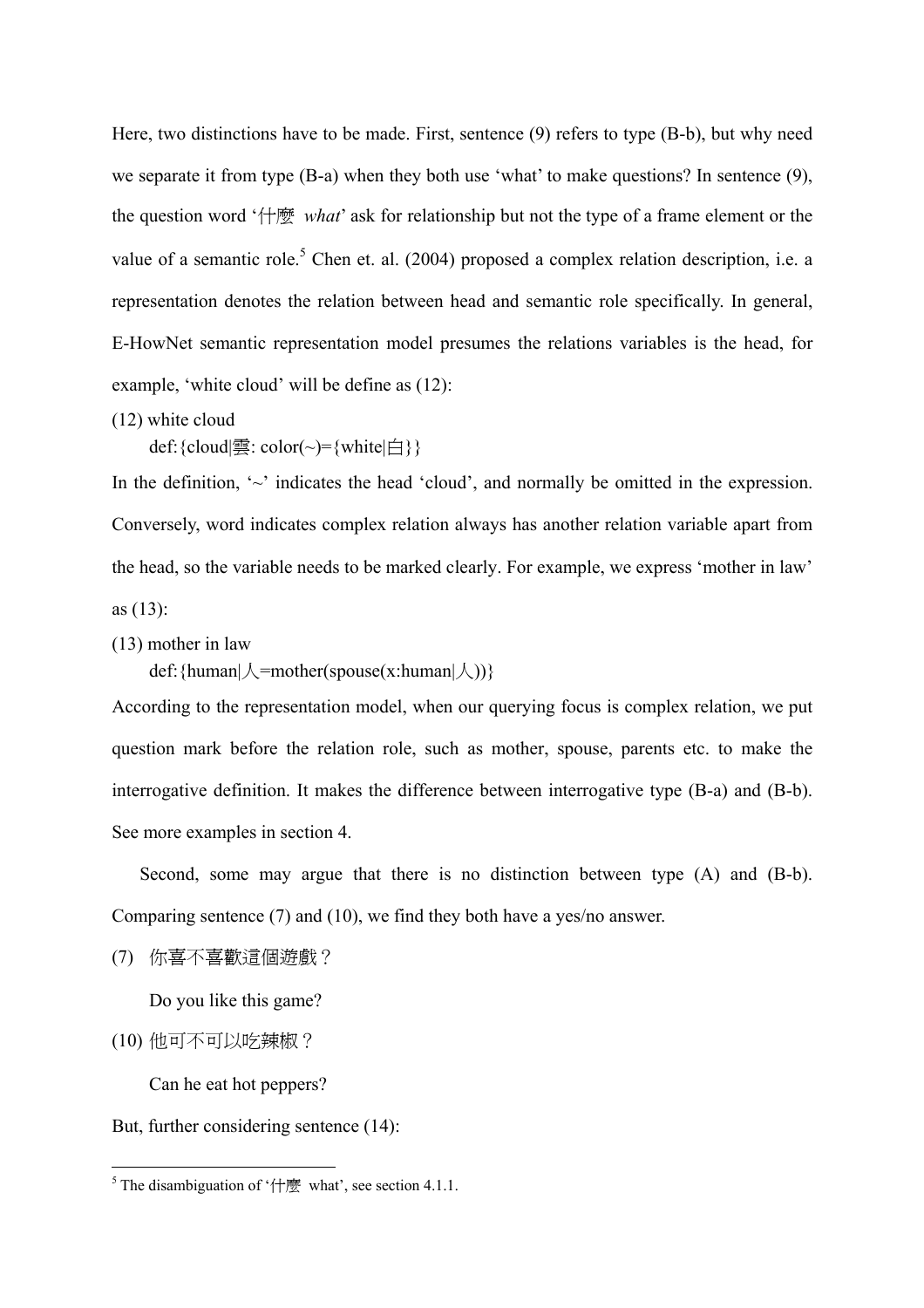Here, two distinctions have to be made. First, sentence (9) refers to type (B-b), but why need we separate it from type (B-a) when they both use 'what' to make questions? In sentence (9), the question word '什麼 *what*' ask for relationship but not the type of a frame element or the value of a semantic role.<sup>[5](#page-5-0)</sup> Chen et. al. (2004) proposed a complex relation description, i.e. a representation denotes the relation between head and semantic role specifically. In general, E-HowNet semantic representation model presumes the relations variables is the head, for example, 'white cloud' will be define as (12):

(12) white cloud

def: {cloud|雲: color(~)= {white|白 } }

In the definition,  $\sim$  indicates the head 'cloud', and normally be omitted in the expression. Conversely, word indicates complex relation always has another relation variable apart from the head, so the variable needs to be marked clearly. For example, we express 'mother in law' as (13):

(13) mother in law

def: { $human | \angle = mother(spouse(x:human | \angle))$ }

According to the representation model, when our querying focus is complex relation, we put question mark before the relation role, such as mother, spouse, parents etc. to make the interrogative definition. It makes the difference between interrogative type (B-a) and (B-b). See more examples in section 4.

Second, some may argue that there is no distinction between type (A) and (B-b). Comparing sentence (7) and (10), we find they both have a yes/no answer.

(7) 你喜不喜歡這個遊戲?

Do you like this game?

(10) 他可不可以吃辣椒?

 $\overline{a}$ 

Can he eat hot peppers?

But, further considering sentence (14):

<span id="page-5-0"></span><sup>&</sup>lt;sup>5</sup> The disambiguation of ' $\leftarrow$   $\mathbb{R}$ " what', see section 4.1.1.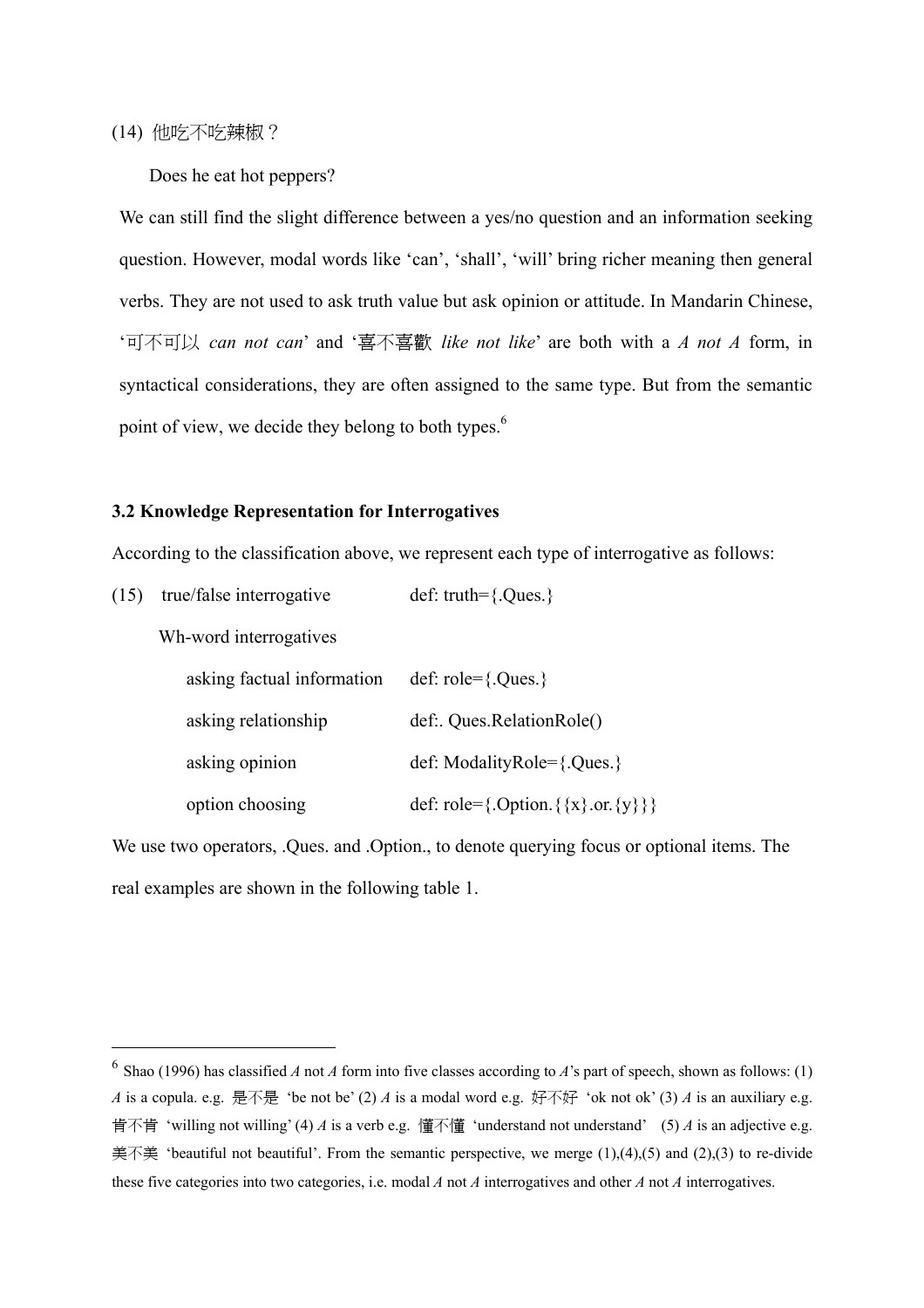(14) 他吃不吃辣椒?

 $\overline{a}$ 

Does he eat hot peppers?

We can still find the slight difference between a yes/no question and an information seeking question. However, modal words like 'can', 'shall', 'will' bring richer meaning then general verbs. They are not used to ask truth value but ask opinion or attitude. In Mandarin Chinese, '可不可以 *can not can*' and '喜不喜歡 *like not like*' are both with a *A not A* form, in syntactical considerations, they are often assigned to the same type. But from the semantic point of view, we decide they belong to both types.<sup>[6](#page-6-0)</sup>

#### **3.2 Knowledge Representation for Interrogatives**

According to the classification above, we represent each type of interrogative as follows:

| (15) | true/false interrogative   | def: truth= ${Oues.}$                         |
|------|----------------------------|-----------------------------------------------|
|      | Wh-word interrogatives     |                                               |
|      | asking factual information | def: $role = \{.Ques.\}$                      |
|      | asking relationship        | def: Ques.RelationRole()                      |
|      | asking opinion             | def: ModalityRole= $\{. Ques. \}$             |
|      | option choosing            | def: role={.Option. { $\{x\}$ .or. $\{y\}\}\$ |

We use two operators, .Ques. and .Option., to denote querying focus or optional items. The real examples are shown in the following table 1.

<span id="page-6-0"></span><sup>&</sup>lt;sup>6</sup> Shao (1996) has classified *A* not *A* form into five classes according to *A*'s part of speech, shown as follows: (1) *A* is a copula. e.g. 是不是 'be not be' (2) *A* is a modal word e.g. 好不好 'ok not ok' (3) *A* is an auxiliary e.g. 肯不肯 'willing not willing' (4) *A* is a verb e.g. 懂不懂 'understand not understand' (5) *A* is an adjective e.g. 美不美 'beautiful not beautiful'. From the semantic perspective, we merge  $(1)$ , $(4)$ , $(5)$  and  $(2)$ , $(3)$  to re-divide these five categories into two categories, i.e. modal *A* not *A* interrogatives and other *A* not *A* interrogatives.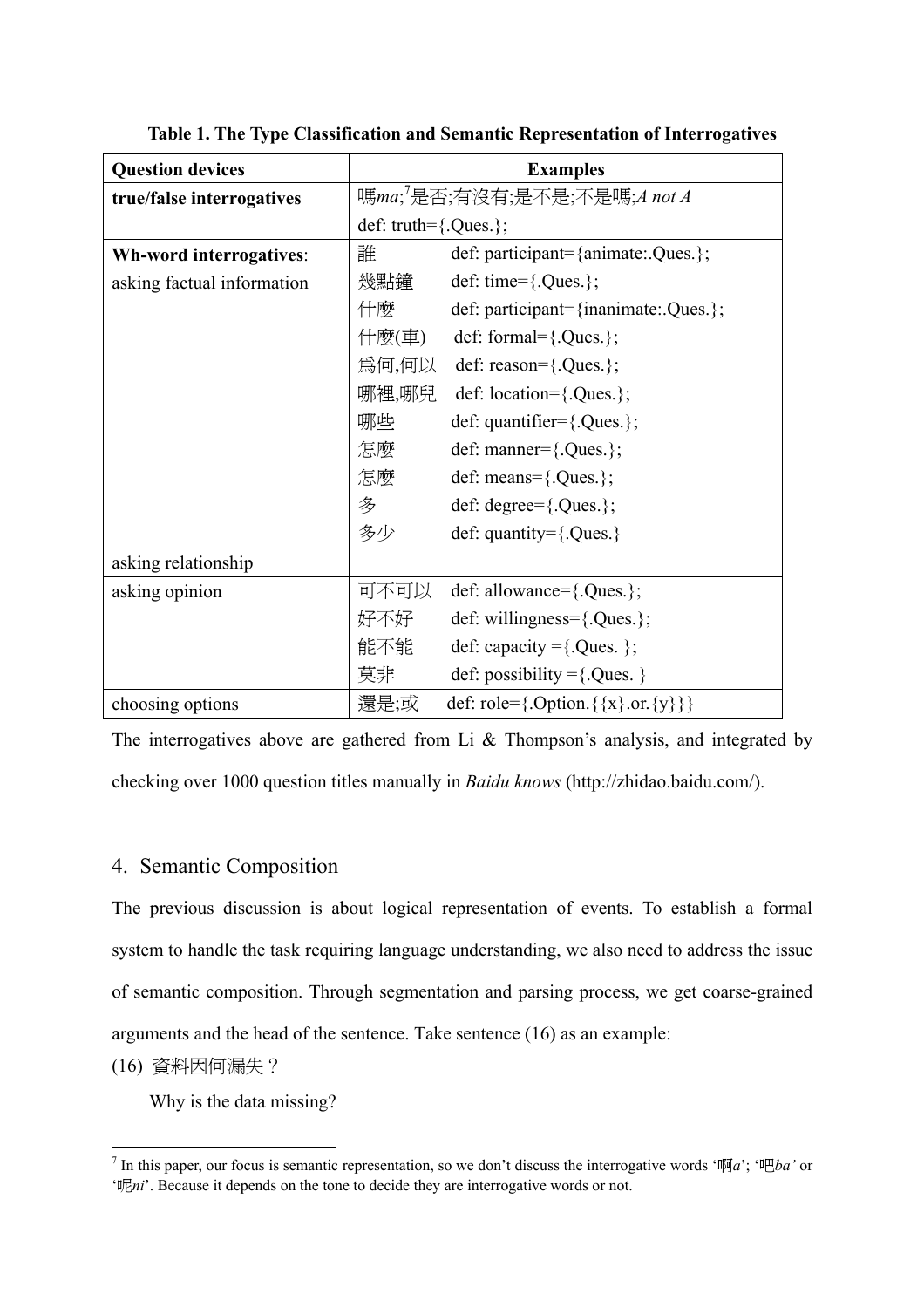| <b>Question devices</b>    | <b>Examples</b>           |                                              |
|----------------------------|---------------------------|----------------------------------------------|
| true/false interrogatives  |                           | 嗎 <i>ma</i> ;'是否;有沒有;是不是;不是嗎;A not A         |
|                            | def: truth= $\{.Ques.\};$ |                                              |
| Wh-word interrogatives:    | 誰                         | def: participant={animate:.Ques.};           |
| asking factual information | 幾點鐘                       | def: time= $\{.Ques.\};$                     |
|                            | 什麼                        | def: participant={inanimate:.Ques.};         |
|                            | 什麼(車)                     | def: formal= $\{.Ques.\};$                   |
|                            |                           | 為何,何以 def: reason={.Ques.};                  |
|                            | 哪裡,哪兒                     | def: location= $\{.Ques.\};$                 |
|                            | 哪些                        | def: quantifier= $\{.Ques.\};$               |
|                            | 怎麼                        | def: manner= $\{.Ques.\};$                   |
|                            | 怎麼                        | def: means= $\{.Ques.\};$                    |
|                            | 多                         | def: degree= $\{.Ques.\};$                   |
|                            | 多少                        | def: quantity= ${Ques.}$                     |
| asking relationship        |                           |                                              |
| asking opinion             | 可不可以                      | def: allowance={.Ques.};                     |
|                            | 好不好                       | def: willingness= $\{. Ques. \}$ ;           |
|                            | 能不能                       | def: capacity = {. Ques. };                  |
|                            | 莫非                        | def: possibility = {.Ques. }                 |
| choosing options           | 還是;或                      | def: role={.Option. { $\{x\}$ .or. { $y\}$ } |

**Table 1. The Type Classification and Semantic Representation of Interrogatives** 

The interrogatives above are gathered from Li & Thompson's analysis, and integrated by checking over 1000 question titles manually in *Baidu knows* (http://zhidao.baidu.com/).

### 4. Semantic Composition

The previous discussion is about logical representation of events. To establish a formal system to handle the task requiring language understanding, we also need to address the issue of semantic composition. Through segmentation and parsing process, we get coarse-grained arguments and the head of the sentence. Take sentence (16) as an example:

(16) 資料因何漏失?

 $\overline{a}$ 

Why is the data missing?

<span id="page-7-0"></span><sup>&</sup>lt;sup>7</sup> In this paper, our focus is semantic representation, so we don't discuss the interrogative words '啊*a*'; '吧*ba*' or '呢*ni*'. Because it depends on the tone to decide they are interrogative words or not.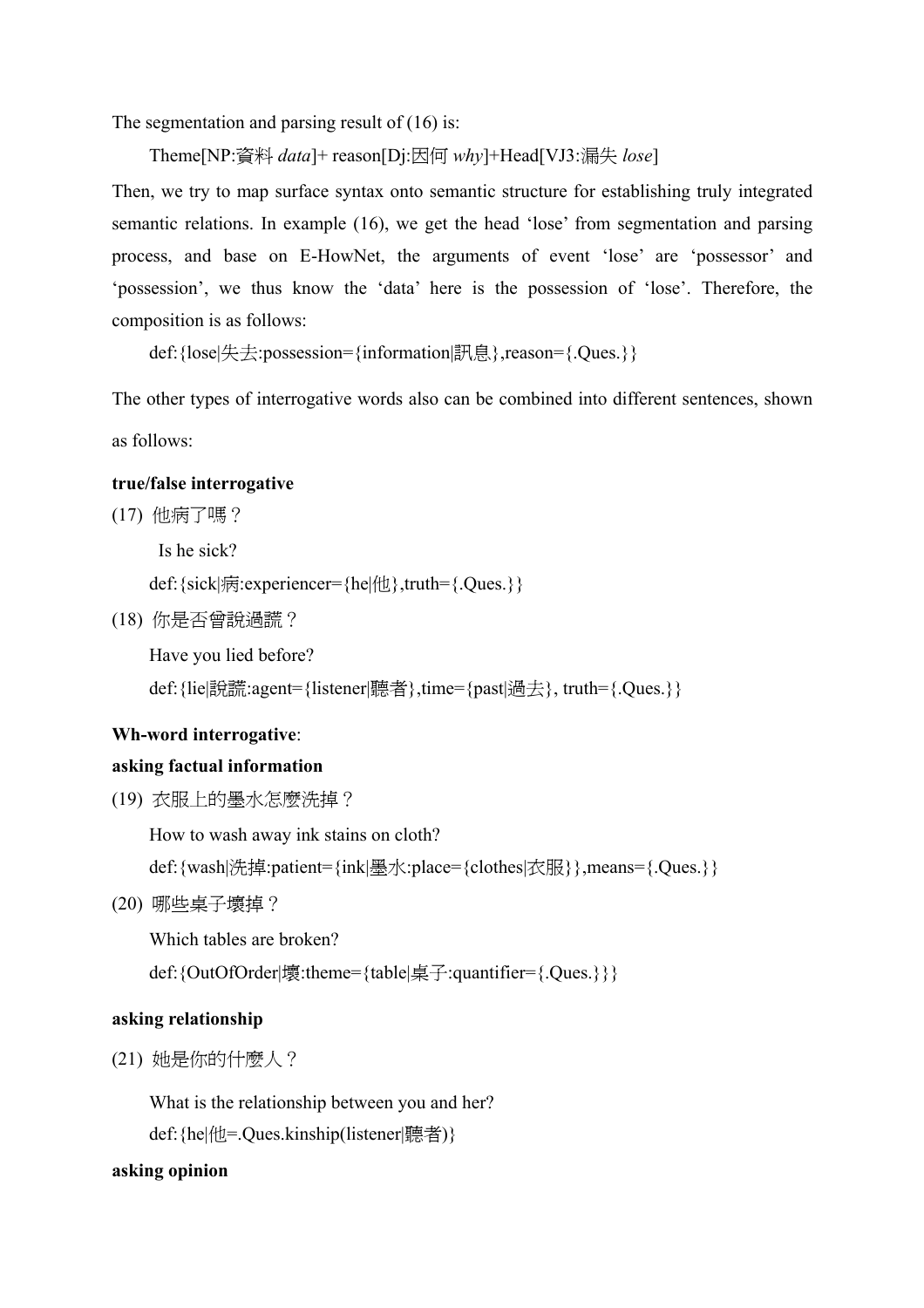The segmentation and parsing result of (16) is:

Theme[NP:資料 *data*]+ reason[Dj:因何 *why*]+Head[VJ3:漏失 *lose*]

Then, we try to map surface syntax onto semantic structure for establishing truly integrated semantic relations. In example (16), we get the head 'lose' from segmentation and parsing process, and base on E-HowNet, the arguments of event 'lose' are 'possessor' and 'possession', we thus know the 'data' here is the possession of 'lose'. Therefore, the composition is as follows:

def:{lose|失去:possession={information|訊息},reason={.Ques.}}

The other types of interrogative words also can be combined into different sentences, shown as follows:

### **true/false interrogative**

(17) 他病了嗎?

Is he sick? def:{sick|病:experiencer={he|他},truth={.Ques.}}

(18) 你是否曾說過謊?

Have you lied before?

def:{lie|說謊:agent={listener|聽者},time={past|過去}, truth={.Ques.}}

# **Wh-word interrogative**:

# **asking factual information**

(19) 衣服上的墨水怎麼洗掉?

How to wash away ink stains on cloth?

def:{wash|洗掉:patient={ink|墨水:place={clothes|衣服}},means={.Ques.}}

(20) 哪些桌子壞掉?

Which tables are broken?

def:{OutOfOrder|壞:theme={table|桌子:quantifier={.Ques.}}}

# **asking relationship**

(21) 她是你的什麼人?

What is the relationship between you and her?

def:{he|他=.Ques.kinship(listener|聽者)}

# **asking opinion**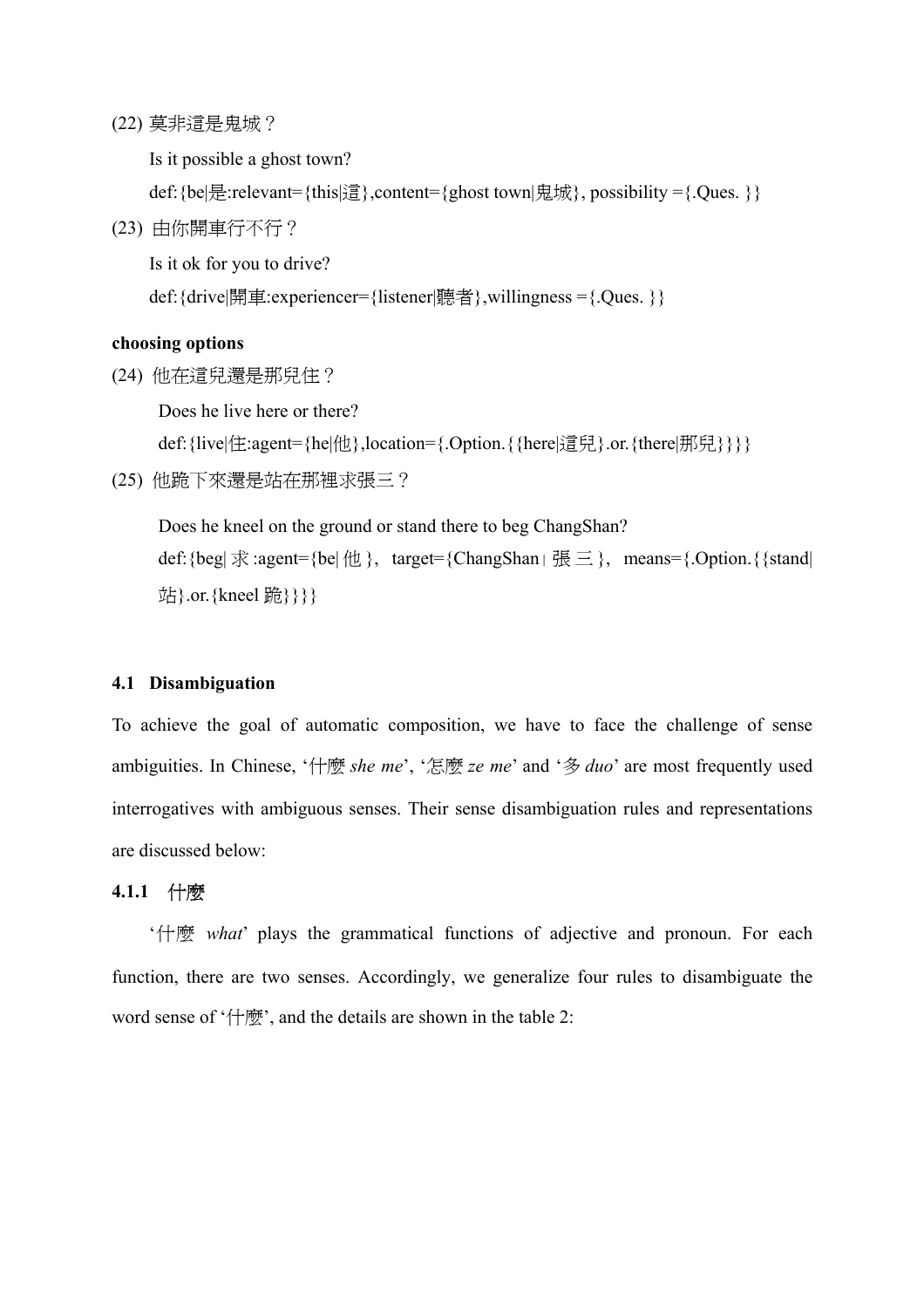(22) 莫非這是鬼城?

Is it possible a ghost town?

def:{be|是:relevant={this|這},content={ghost town|鬼城}, possibility ={.Ques. }}

(23) 由你開車行不行?

Is it ok for you to drive?

def:{drive|開車:experiencer={listener|聽者},willingness ={.Ques. }}

#### **choosing options**

(24) 他在這兒還是那兒住?

Does he live here or there?

def: {live|住:agent={he|他},location={.Option. { {here|這兒}.or. {there|那兒}}}}

(25) 他跪下來還是站在那裡求張三?

Does he kneel on the ground or stand there to beg ChangShan? def: {beg| 求 :agent={be| 他 }, target={ChangShan| 張三 }, means={.Option. { {stand| 站}.or. {kneel 跪}}}

#### **4.1 Disambiguation**

To achieve the goal of automatic composition, we have to face the challenge of sense ambiguities. In Chinese, '什麼 *she me*', '怎麼 *ze me*' and '多 *duo*' are most frequently used interrogatives with ambiguous senses. Their sense disambiguation rules and representations are discussed below:

### **4.1.1** 什麼

'什麼 *what*' plays the grammatical functions of adjective and pronoun. For each function, there are two senses. Accordingly, we generalize four rules to disambiguate the word sense of '什麼', and the details are shown in the table 2: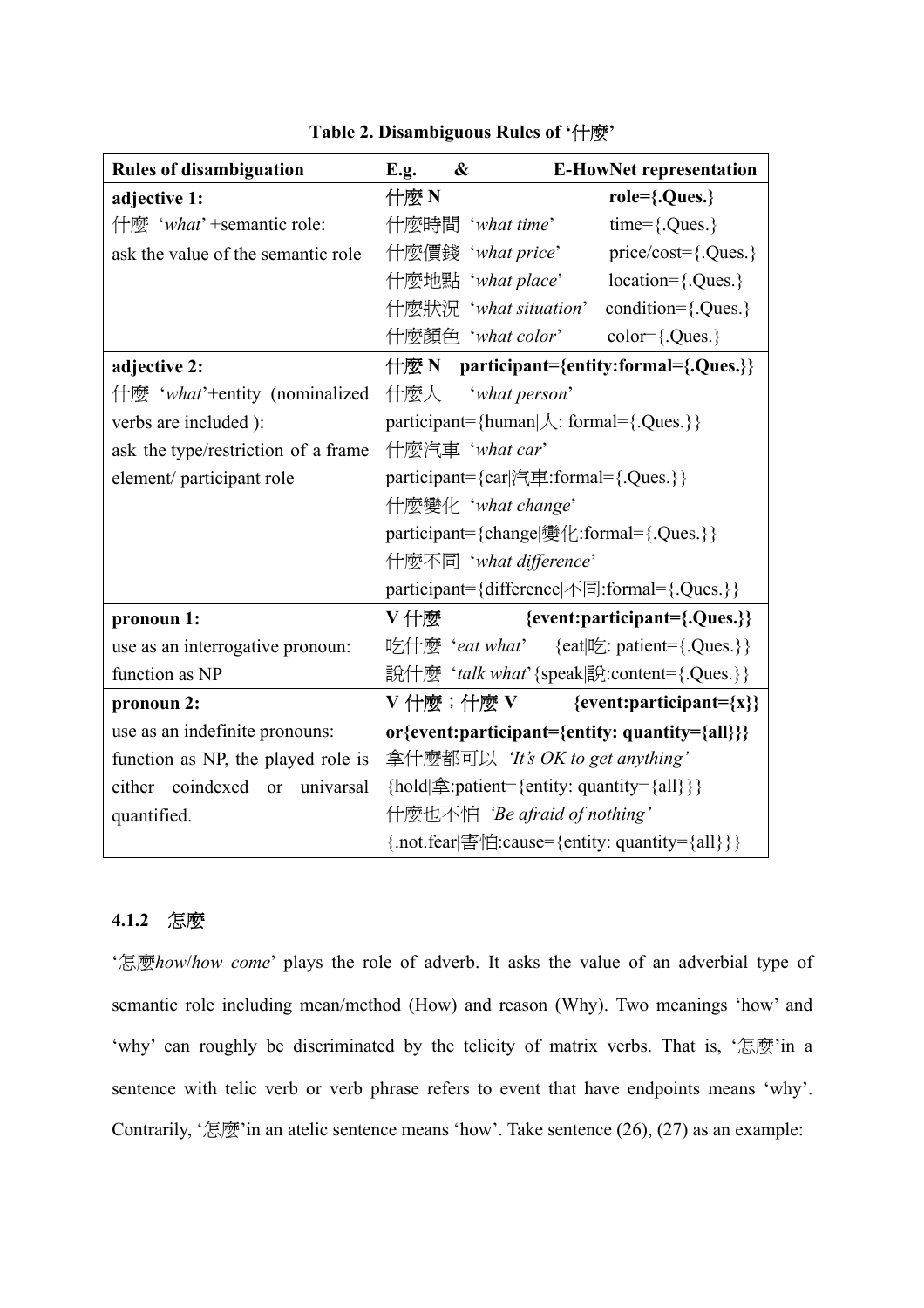| <b>Rules of disambiguation</b>      | <b>E.g.</b><br>&                                                   | <b>E-HowNet representation</b> |
|-------------------------------------|--------------------------------------------------------------------|--------------------------------|
| adjective 1:                        | 什麼 N                                                               | role={.Ques.}                  |
| 什麼 'what' +semantic role:           | 什麼時間 'what time'                                                   | $time = \{.Ques.\}$            |
| ask the value of the semantic role  | 什麼價錢 'what price'                                                  | $price/cost = \{.Ques.\}$      |
|                                     | 什麼地點 'what place'                                                  | location={.Ques.}              |
|                                     | 什麼狀況 'what situation'                                              | condition={.Ques.}             |
|                                     | 什麼顏色 'what color'                                                  | $color={.}Ques.$               |
| adjective 2:                        | 什麼 N participant={entity:formal={.Ques.}}                          |                                |
| 什麼 'what'+entity (nominalized       | 什麼人 <i>what person</i>                                             |                                |
| verbs are included ):               | $participant = {human   \mathcal{L}: formal = {. Ques. } }$        |                                |
| ask the type/restriction of a frame | 什麼汽車 'what car'                                                    |                                |
| element/participant role            | participant={car 汽車:formal={.Ques.}}                               |                                |
|                                     | 什麼變化 'what change'                                                 |                                |
|                                     | participant={change 變化:formal={.Ques.}}                            |                                |
|                                     | 什麼不同 'what difference'                                             |                                |
|                                     | participant={difference 不同:formal={.Ques.}}                        |                                |
| pronoun 1:                          | V什麼                                                                | {event:participant={.Ques.}}   |
| use as an interrogative pronoun:    | 吃什麼 'eat what' {eat 吃: patient={.Ques.}}                           |                                |
| function as NP                      | 說什麼 'talk what' {speak 說:content={.Ques.}}                         |                                |
| pronoun 2:                          | V 什麼;什麼 V                                                          | ${event:participant = {x}}$    |
| use as an indefinite pronouns:      | or{event:participant={entity: quantity={all}}}                     |                                |
| function as NP, the played role is  | 拿什麼都可以 'It's OK to get anything'                                   |                                |
| either coindexed or univarsal       | {hold $\hat{\mathbf{\hat{p}}}$ : patient={entity: quantity={all}}} |                                |
| quantified.                         | 什麼也不怕 'Be afraid of nothing'                                       |                                |
|                                     | {.not.fear 害怕:cause={entity: quantity={all}}}                      |                                |

**Table 2. Disambiguous Rules of '**什麼**'** 

# **4.1.2** 怎麼

'怎麼*how*/*how come*' plays the role of adverb. It asks the value of an adverbial type of semantic role including mean/method (How) and reason (Why). Two meanings 'how' and 'why' can roughly be discriminated by the telicity of matrix verbs. That is, '怎麼'in a sentence with telic [verb](http://en.wikipedia.org/wiki/Verbs) or [verb phrase](http://en.wikipedia.org/wiki/Verb_phrase) refers to event that have endpoints means 'why'. Contrarily, '怎麼'in an atelic sentence means 'how'. Take sentence  $(26)$ ,  $(27)$  as an example: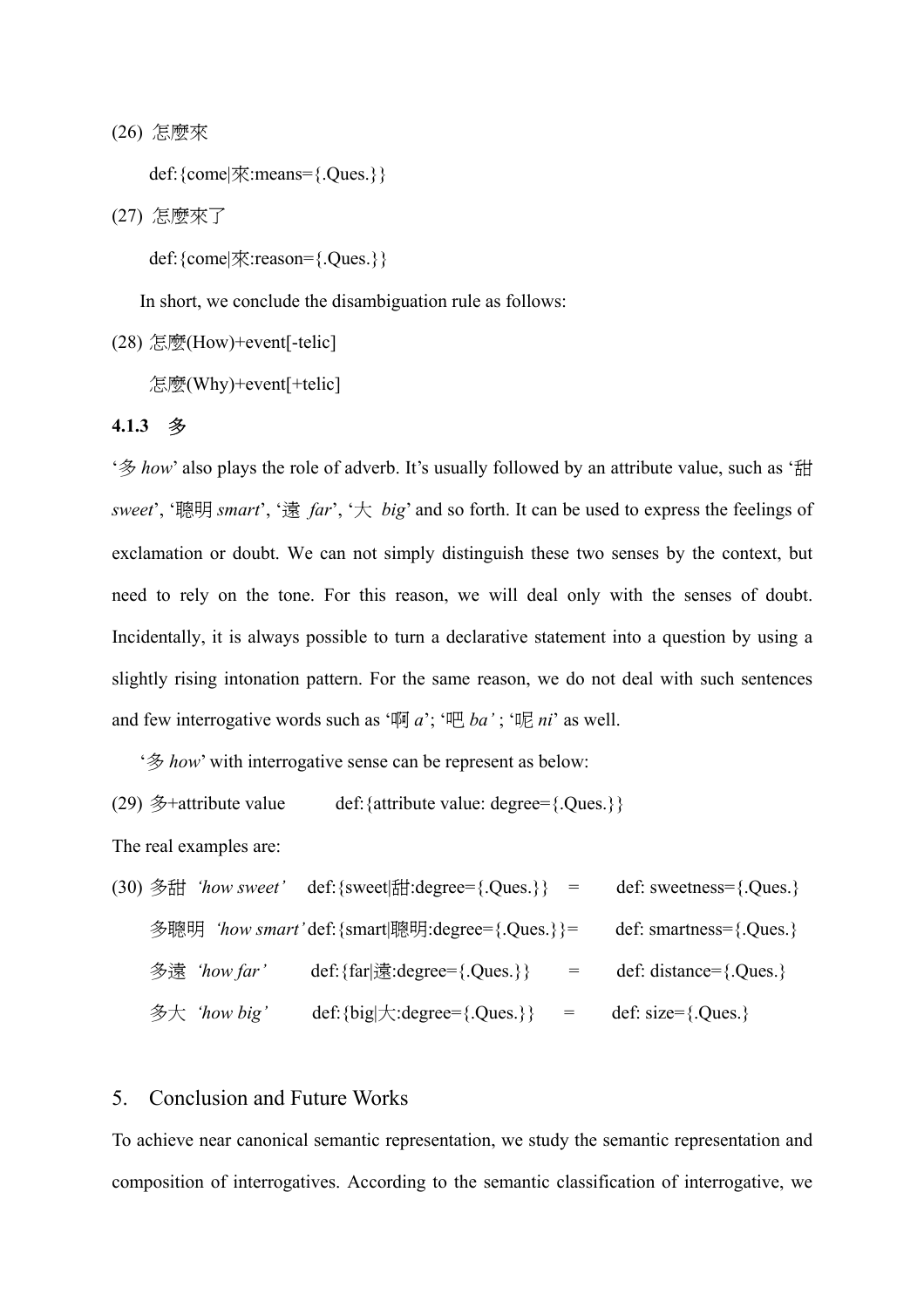(26) 怎麼來

def:{come|來:means={.Ques.}}

(27) 怎麼來了

def:{come|來:reason={.Ques.}}

In short, we conclude the disambiguation rule as follows:

(28) 怎麼(How)+event[-telic]

怎麼(Why)+event[+telic]

#### **4.1.3** 多

'多 *how*' also plays the role of adverb. It's usually followed by an attribute value, such as '甜 *sweet*', '聰明 *smart*', '遠 *far*', '大 *big*' and so forth. It can be used to express the feelings of exclamation or doubt. We can not simply distinguish these two senses by the context, but need to rely on the tone. For this reason, we will deal only with the senses of doubt. Incidentally, it is always possible to turn a declarative statement into a question by using a slightly rising intonation pattern. For the same reason, we do not deal with such sentences and few interrogative words such as '啊 *a*'; '吧 *ba'* ; '呢 *ni*' as well.

'多 *how*' with interrogative sense can be represent as below:

(29) 多+attribute value def:{attribute value: degree={.Ques.}}

The real examples are:

|              | (30) 多甜 'how sweet' def: {sweet 甜: degree= {. Ques. } =         | def: sweetness= $\{.Ques.\}$ |
|--------------|-----------------------------------------------------------------|------------------------------|
|              | 多聰明 'how smart'def: {smart 聰明:degree= {.Ques.}}=                | def: smartness= $\{.Ques.\}$ |
| 多遠 'how far' | def: $\{far   \frac{1}{32}:\text{degree} = \{.Ques.\}\}$<br>$=$ | def: distance= $\{.Ques.\}$  |
| 多大 'how big' | def: {big $\mid \uparrow$ : degree= { .Ques.}}<br>$\alpha = 1$  | def: $size=\}$ . Ques.}      |

# 5. Conclusion and Future Works

To achieve near canonical semantic representation, we study the semantic representation and composition of interrogatives. According to the semantic classification of interrogative, we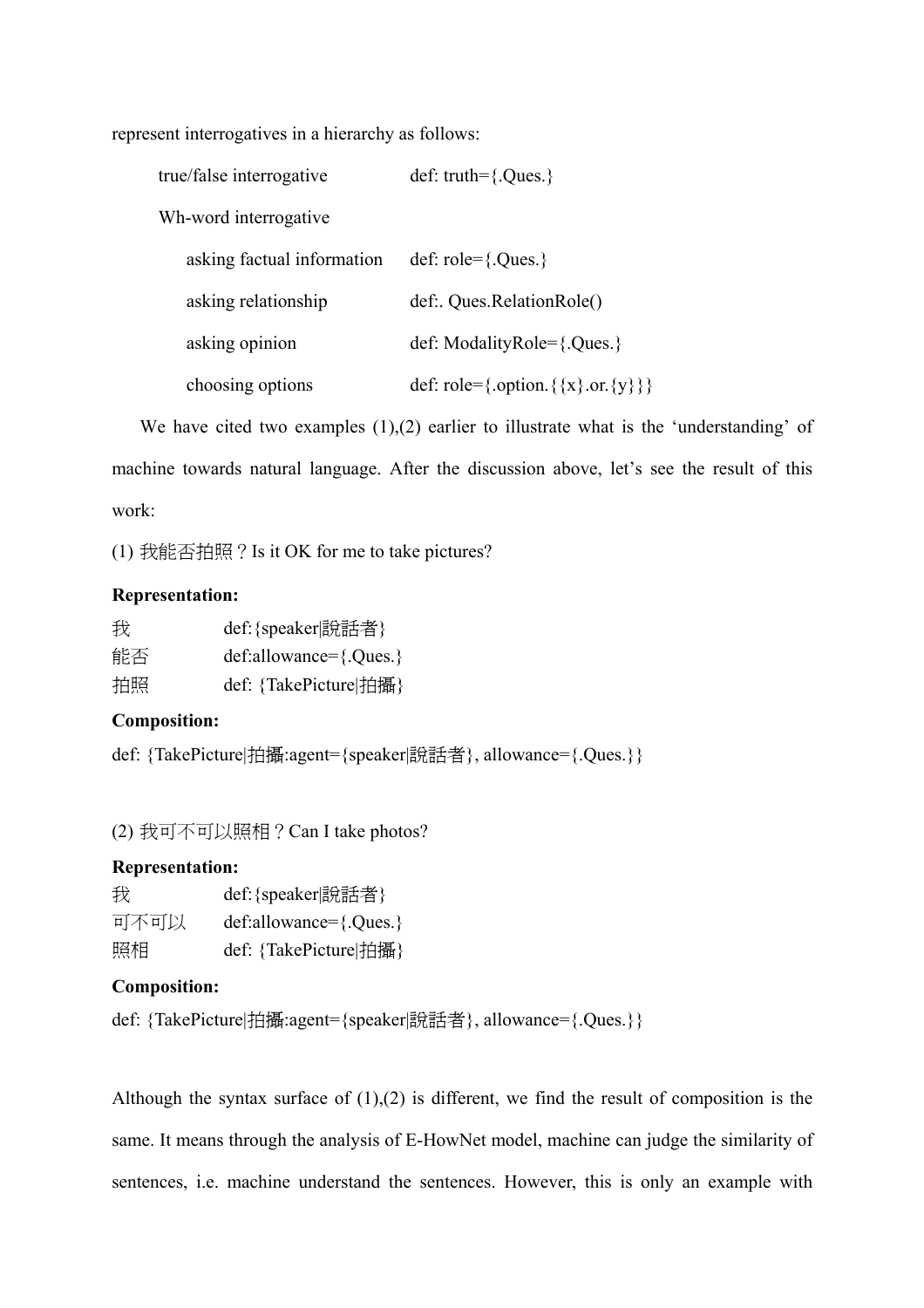represent interrogatives in a hierarchy as follows:

| true/false interrogative   | def: truth= ${Oues.}$                  |
|----------------------------|----------------------------------------|
| Wh-word interrogative      |                                        |
| asking factual information | def: $role = \{.Ques.\}$               |
| asking relationship        | def: Ques.RelationRole()               |
| asking opinion             | def: ModalityRole= $\{. Ques. \}$      |
| choosing options           | def: role={.option. { {x} .or. {y} } } |

We have cited two examples  $(1),(2)$  earlier to illustrate what is the 'understanding' of machine towards natural language. After the discussion above, let's see the result of this work:

(1) 我能否拍照?Is it OK for me to take pictures?

# **Representation:**

| 我  | def: {speaker 說話者}           |
|----|------------------------------|
| 能否 | $def:allowance = \{.Ques.\}$ |
| 拍照 | def: {TakePicture 拍攝}        |

# **Composition:**

def: {TakePicture|拍攝:agent={speaker|說話者}, allowance={.Ques.}}

(2) 我可不可以照相?Can I take photos?

# **Representation:**

| 我    | def: {speaker 說話者}         |
|------|----------------------------|
| 可不可以 | $def:allowance=\{.Ques.\}$ |
| 照相   | def: {TakePicture 拍攝}      |

# **Composition:**

```
def: {TakePicture|拍攝:agent={speaker|說話者}, allowance={.Ques.}}
```
Although the syntax surface of  $(1)$ , $(2)$  is different, we find the result of composition is the same. It means through the analysis of E-HowNet model, machine can judge the similarity of sentences, i.e. machine understand the sentences. However, this is only an example with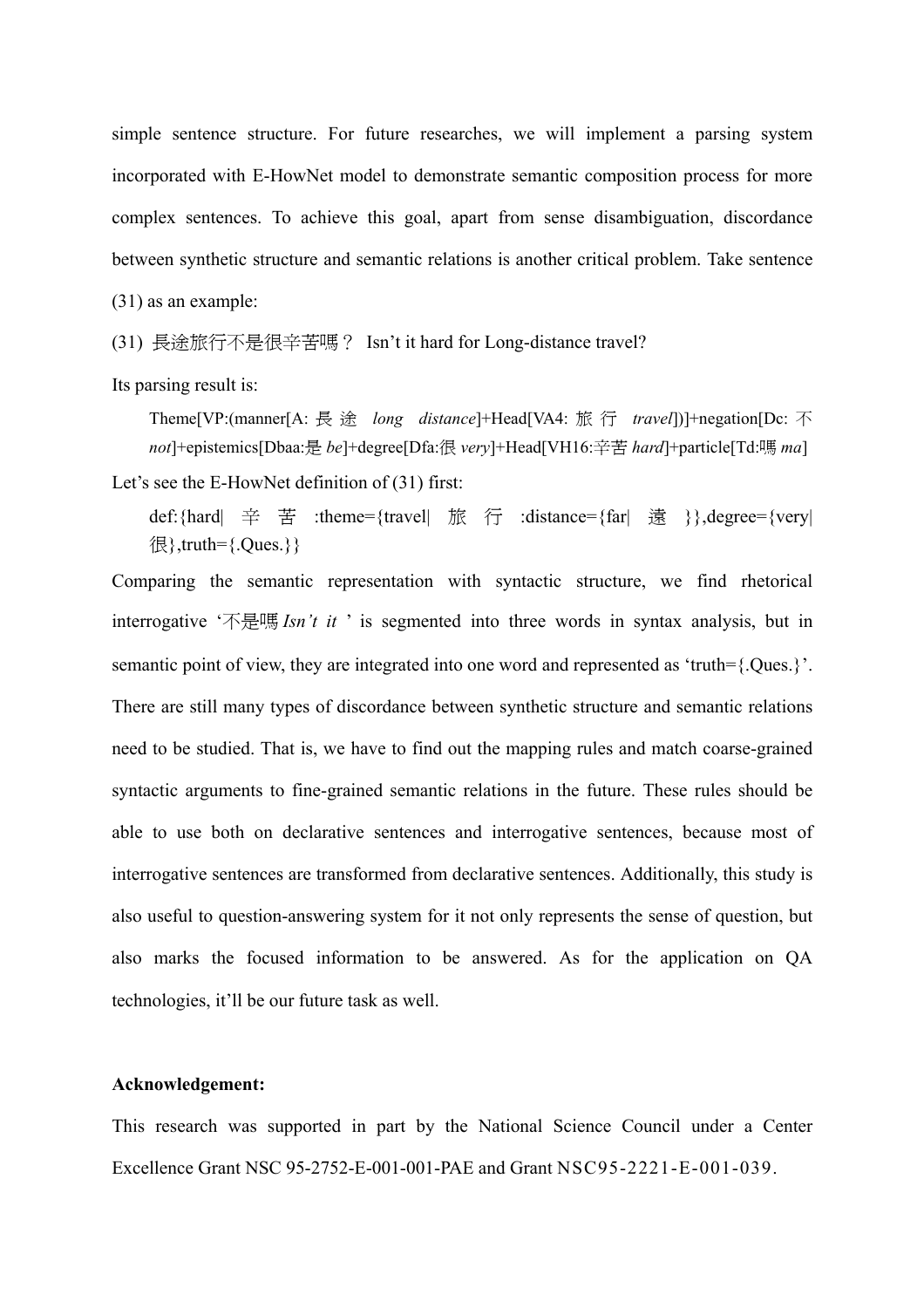simple sentence structure. For future researches, we will implement a parsing system incorporated with E-HowNet model to demonstrate semantic composition process for more complex sentences. To achieve this goal, apart from sense disambiguation, discordance between synthetic structure and semantic relations is another critical problem. Take sentence (31) as an example:

(31) 長途旅行不是很辛苦嗎? Isn't it hard for Long-distance travel?

Its parsing result is:

Theme[VP:(manner[A: 長 途 *long distance*]+Head[VA4: 旅 行 *travel*])]+negation[Dc: 不 *not*]+epistemics[Dbaa:是 *be*]+degree[Dfa:很 *very*]+Head[VH16:辛苦 *hard*]+particle[Td:嗎 *ma*]

Let's see the E-HowNet definition of (31) first:

def:{hard| 辛 苦 :theme={travel| 旅 行 :distance={far| 遠 }},degree={very|  $\{\mathbb{R}\},$ truth= $\{.Ques.\}$ 

Comparing the semantic representation with syntactic structure, we find rhetorical interrogative '不是嗎 *Isn't it* ' is segmented into three words in syntax analysis, but in semantic point of view, they are integrated into one word and represented as 'truth={.Ques.}'. There are still many types of discordance between synthetic structure and semantic relations need to be studied. That is, we have to find out the mapping rules and match coarse-grained syntactic arguments to fine-grained semantic relations in the future. These rules should be able to use both on declarative sentences and interrogative sentences, because most of interrogative sentences are transformed from declarative sentences. Additionally, this study is also useful to question-answering system for it not only represents the sense of question, but also marks the focused information to be answered. As for the application on QA technologies, it'll be our future task as well.

#### **Acknowledgement:**

This research was supported in part by the National Science Council under a Center Excellence Grant NSC 95-2752-E-001-001-PAE and Grant NSC95-2221-E-001-039.